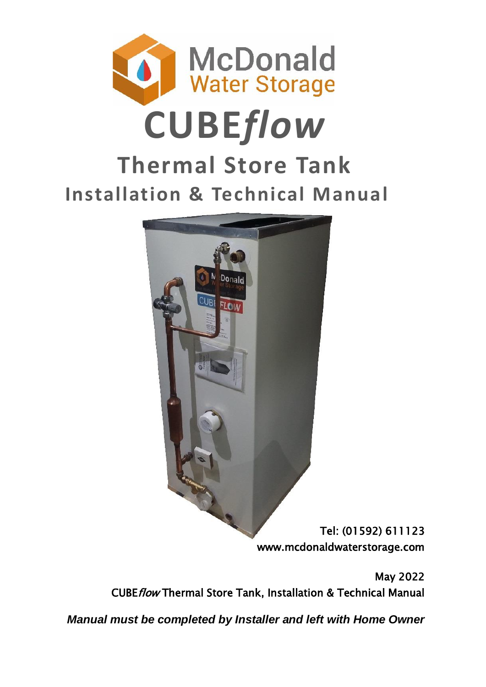



Tel: (01592) 611123 www.mcdonaldwaterstorage.com

May 2022 CUBEflow Thermal Store Tank, Installation & Technical Manual

*Manual must be completed by Installer and left with Home Owner*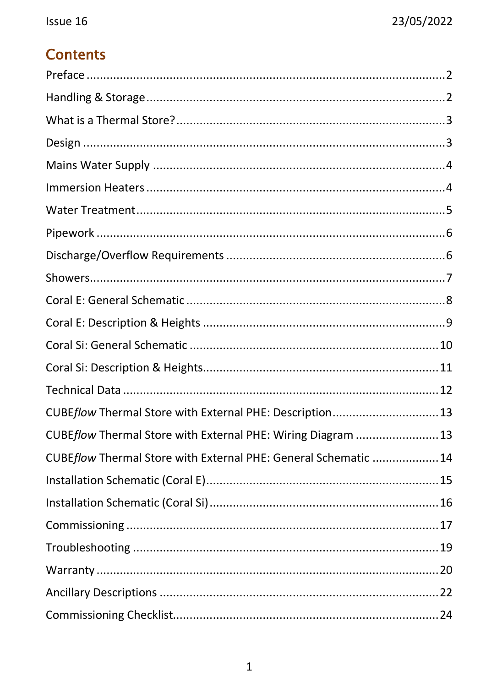# **Contents**

| CUBEflow Thermal Store with External PHE: Description13         |  |
|-----------------------------------------------------------------|--|
| CUBEflow Thermal Store with External PHE: Wiring Diagram  13    |  |
| CUBEflow Thermal Store with External PHE: General Schematic  14 |  |
|                                                                 |  |
|                                                                 |  |
|                                                                 |  |
|                                                                 |  |
|                                                                 |  |
|                                                                 |  |
|                                                                 |  |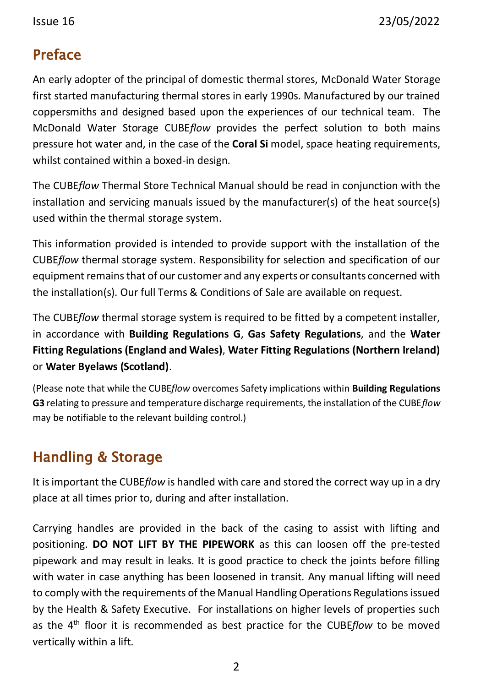### <span id="page-2-0"></span>Preface

An early adopter of the principal of domestic thermal stores, McDonald Water Storage first started manufacturing thermal stores in early 1990s. Manufactured by our trained coppersmiths and designed based upon the experiences of our technical team. The McDonald Water Storage CUBE*flow* provides the perfect solution to both mains pressure hot water and, in the case of the **Coral Si** model, space heating requirements, whilst contained within a boxed-in design.

The CUBE*flow* Thermal Store Technical Manual should be read in conjunction with the installation and servicing manuals issued by the manufacturer(s) of the heat source(s) used within the thermal storage system.

This information provided is intended to provide support with the installation of the CUBE*flow* thermal storage system. Responsibility for selection and specification of our equipment remains that of our customer and any experts or consultants concerned with the installation(s). Our full Terms & Conditions of Sale are available on request.

The CUBE*flow* thermal storage system is required to be fitted by a competent installer, in accordance with **Building Regulations G**, **Gas Safety Regulations**, and the **Water Fitting Regulations (England and Wales)**, **Water Fitting Regulations (Northern Ireland)** or **Water Byelaws (Scotland)**.

(Please note that while the CUBE*flow* overcomes Safety implications within **Building Regulations G3** relating to pressure and temperature discharge requirements, the installation of the CUBE*flow* may be notifiable to the relevant building control.)

# <span id="page-2-1"></span>Handling & Storage

It is important the CUBE*flow* is handled with care and stored the correct way up in a dry place at all times prior to, during and after installation.

Carrying handles are provided in the back of the casing to assist with lifting and positioning. **DO NOT LIFT BY THE PIPEWORK** as this can loosen off the pre-tested pipework and may result in leaks. It is good practice to check the joints before filling with water in case anything has been loosened in transit. Any manual lifting will need to comply with the requirements of the Manual Handling Operations Regulations issued by the Health & Safety Executive. For installations on higher levels of properties such as the 4th floor it is recommended as best practice for the CUBE*flow* to be moved vertically within a lift.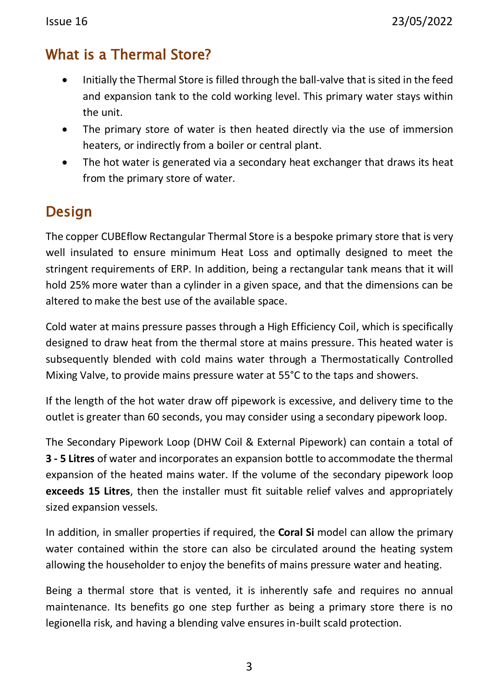### <span id="page-3-0"></span>What is a Thermal Store?

- Initially the Thermal Store is filled through the ball-valve that is sited in the feed and expansion tank to the cold working level. This primary water stays within the unit.
- The primary store of water is then heated directly via the use of immersion heaters, or indirectly from a boiler or central plant.
- The hot water is generated via a secondary heat exchanger that draws its heat from the primary store of water.

### <span id="page-3-1"></span>Design

The copper CUBEflow Rectangular Thermal Store is a bespoke primary store that is very well insulated to ensure minimum Heat Loss and optimally designed to meet the stringent requirements of ERP. In addition, being a rectangular tank means that it will hold 25% more water than a cylinder in a given space, and that the dimensions can be altered to make the best use of the available space.

Cold water at mains pressure passes through a High Efficiency Coil, which is specifically designed to draw heat from the thermal store at mains pressure. This heated water is subsequently blended with cold mains water through a Thermostatically Controlled Mixing Valve, to provide mains pressure water at 55°C to the taps and showers.

If the length of the hot water draw off pipework is excessive, and delivery time to the outlet is greater than 60 seconds, you may consider using a secondary pipework loop.

The Secondary Pipework Loop (DHW Coil & External Pipework) can contain a total of **3 - 5 Litres** of water and incorporates an expansion bottle to accommodate the thermal expansion of the heated mains water. If the volume of the secondary pipework loop **exceeds 15 Litres**, then the installer must fit suitable relief valves and appropriately sized expansion vessels.

In addition, in smaller properties if required, the **Coral Si** model can allow the primary water contained within the store can also be circulated around the heating system allowing the householder to enjoy the benefits of mains pressure water and heating.

Being a thermal store that is vented, it is inherently safe and requires no annual maintenance. Its benefits go one step further as being a primary store there is no legionella risk, and having a blending valve ensures in-built scald protection.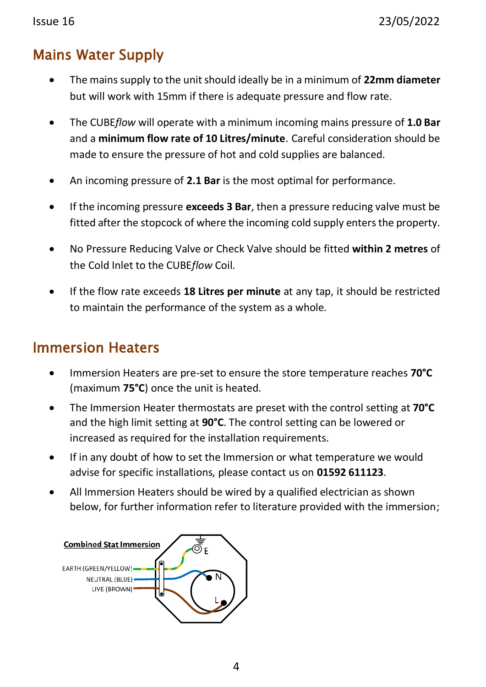## <span id="page-4-0"></span>Mains Water Supply

- The mains supply to the unit should ideally be in a minimum of **22mm diameter** but will work with 15mm if there is adequate pressure and flow rate.
- The CUBE*flow* will operate with a minimum incoming mains pressure of **1.0 Bar** and a **minimum flow rate of 10 Litres/minute**. Careful consideration should be made to ensure the pressure of hot and cold supplies are balanced.
- An incoming pressure of **2.1 Bar** is the most optimal for performance.
- If the incoming pressure **exceeds 3 Bar**, then a pressure reducing valve must be fitted after the stopcock of where the incoming cold supply enters the property.
- No Pressure Reducing Valve or Check Valve should be fitted **within 2 metres** of the Cold Inlet to the CUBE*flow* Coil.
- If the flow rate exceeds **18 Litres per minute** at any tap, it should be restricted to maintain the performance of the system as a whole.

## <span id="page-4-1"></span>Immersion Heaters

- Immersion Heaters are pre-set to ensure the store temperature reaches **70°C** (maximum **75°C**) once the unit is heated.
- The Immersion Heater thermostats are preset with the control setting at **70°C** and the high limit setting at **90°C**. The control setting can be lowered or increased as required for the installation requirements.
- If in any doubt of how to set the Immersion or what temperature we would advise for specific installations, please contact us on **01592 611123**.
- All Immersion Heaters should be wired by a qualified electrician as shown below, for further information refer to literature provided with the immersion;

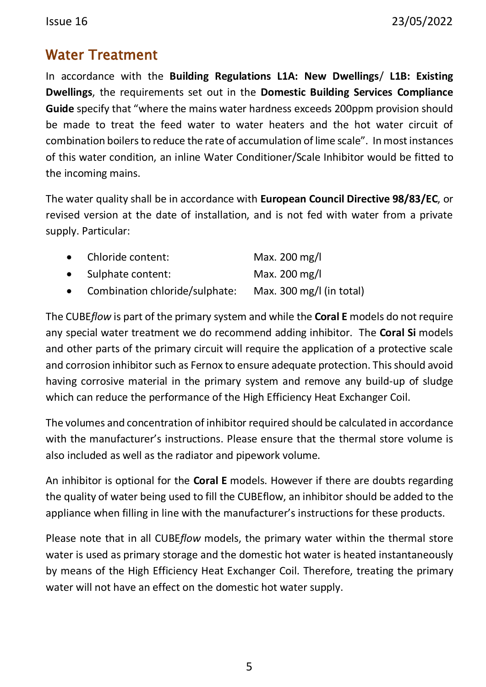### <span id="page-5-0"></span>Water Treatment

In accordance with the **Building Regulations L1A: New Dwellings**/ **L1B: Existing Dwellings**, the requirements set out in the **Domestic Building Services Compliance Guide** specify that "where the mains water hardness exceeds 200ppm provision should be made to treat the feed water to water heaters and the hot water circuit of combination boilers to reduce the rate of accumulation of lime scale". In most instances of this water condition, an inline Water Conditioner/Scale Inhibitor would be fitted to the incoming mains.

The water quality shall be in accordance with **European Council Directive 98/83/EC**, or revised version at the date of installation, and is not fed with water from a private supply. Particular:

|           | • Chloride content:            | Max. 200 mg/l            |
|-----------|--------------------------------|--------------------------|
| $\bullet$ | Sulphate content:              | Max. 200 mg/l            |
| $\bullet$ | Combination chloride/sulphate: | Max. 300 mg/l (in total) |

The CUBE*flow* is part of the primary system and while the **Coral E** models do not require any special water treatment we do recommend adding inhibitor. The **Coral Si** models and other parts of the primary circuit will require the application of a protective scale and corrosion inhibitor such as Fernox to ensure adequate protection. This should avoid having corrosive material in the primary system and remove any build-up of sludge which can reduce the performance of the High Efficiency Heat Exchanger Coil.

The volumes and concentration of inhibitor required should be calculated in accordance with the manufacturer's instructions. Please ensure that the thermal store volume is also included as well as the radiator and pipework volume.

An inhibitor is optional for the **Coral E** models. However if there are doubts regarding the quality of water being used to fill the CUBEflow, an inhibitor should be added to the appliance when filling in line with the manufacturer's instructions for these products.

Please note that in all CUBE*flow* models, the primary water within the thermal store water is used as primary storage and the domestic hot water is heated instantaneously by means of the High Efficiency Heat Exchanger Coil. Therefore, treating the primary water will not have an effect on the domestic hot water supply.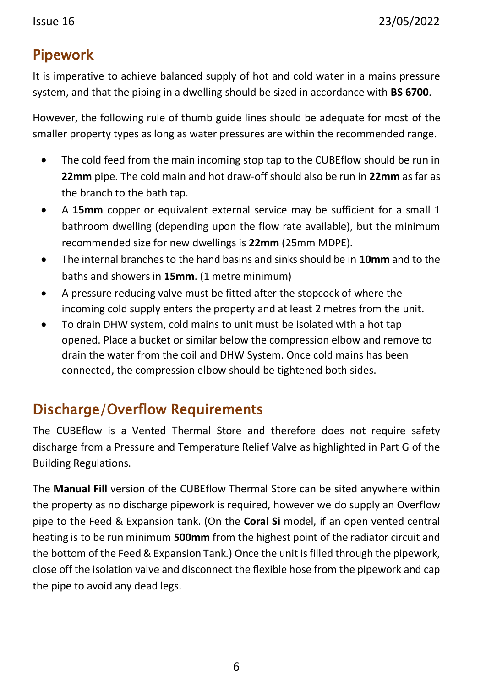## <span id="page-6-0"></span>Pipework

It is imperative to achieve balanced supply of hot and cold water in a mains pressure system, and that the piping in a dwelling should be sized in accordance with **BS 6700**.

However, the following rule of thumb guide lines should be adequate for most of the smaller property types as long as water pressures are within the recommended range.

- The cold feed from the main incoming stop tap to the CUBEflow should be run in **22mm** pipe. The cold main and hot draw-off should also be run in **22mm** as far as the branch to the bath tap.
- A **15mm** copper or equivalent external service may be sufficient for a small 1 bathroom dwelling (depending upon the flow rate available), but the minimum recommended size for new dwellings is **22mm** (25mm MDPE).
- The internal branches to the hand basins and sinks should be in **10mm** and to the baths and showers in **15mm**. (1 metre minimum)
- A pressure reducing valve must be fitted after the stopcock of where the incoming cold supply enters the property and at least 2 metres from the unit.
- To drain DHW system, cold mains to unit must be isolated with a hot tap opened. Place a bucket or similar below the compression elbow and remove to drain the water from the coil and DHW System. Once cold mains has been connected, the compression elbow should be tightened both sides.

## <span id="page-6-1"></span>Discharge/Overflow Requirements

The CUBEflow is a Vented Thermal Store and therefore does not require safety discharge from a Pressure and Temperature Relief Valve as highlighted in Part G of the Building Regulations.

The **Manual Fill** version of the CUBEflow Thermal Store can be sited anywhere within the property as no discharge pipework is required, however we do supply an Overflow pipe to the Feed & Expansion tank. (On the **Coral Si** model, if an open vented central heating is to be run minimum **500mm** from the highest point of the radiator circuit and the bottom of the Feed & Expansion Tank.) Once the unit is filled through the pipework, close off the isolation valve and disconnect the flexible hose from the pipework and cap the pipe to avoid any dead legs.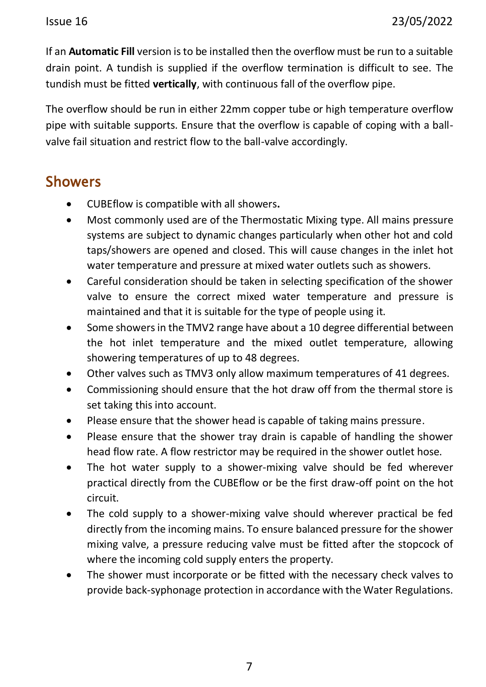If an **Automatic Fill** version is to be installed then the overflow must be run to a suitable drain point. A tundish is supplied if the overflow termination is difficult to see. The tundish must be fitted **vertically**, with continuous fall of the overflow pipe.

The overflow should be run in either 22mm copper tube or high temperature overflow pipe with suitable supports. Ensure that the overflow is capable of coping with a ballvalve fail situation and restrict flow to the ball-valve accordingly.

### <span id="page-7-0"></span>Showers

- CUBEflow is compatible with all showers**.**
- Most commonly used are of the Thermostatic Mixing type. All mains pressure systems are subject to dynamic changes particularly when other hot and cold taps/showers are opened and closed. This will cause changes in the inlet hot water temperature and pressure at mixed water outlets such as showers.
- Careful consideration should be taken in selecting specification of the shower valve to ensure the correct mixed water temperature and pressure is maintained and that it is suitable for the type of people using it.
- Some showers in the TMV2 range have about a 10 degree differential between the hot inlet temperature and the mixed outlet temperature, allowing showering temperatures of up to 48 degrees.
- Other valves such as TMV3 only allow maximum temperatures of 41 degrees.
- Commissioning should ensure that the hot draw off from the thermal store is set taking this into account.
- Please ensure that the shower head is capable of taking mains pressure.
- Please ensure that the shower tray drain is capable of handling the shower head flow rate. A flow restrictor may be required in the shower outlet hose.
- The hot water supply to a shower-mixing valve should be fed wherever practical directly from the CUBEflow or be the first draw-off point on the hot circuit.
- The cold supply to a shower-mixing valve should wherever practical be fed directly from the incoming mains. To ensure balanced pressure for the shower mixing valve, a pressure reducing valve must be fitted after the stopcock of where the incoming cold supply enters the property.
- The shower must incorporate or be fitted with the necessary check valves to provide back-syphonage protection in accordance with the Water Regulations.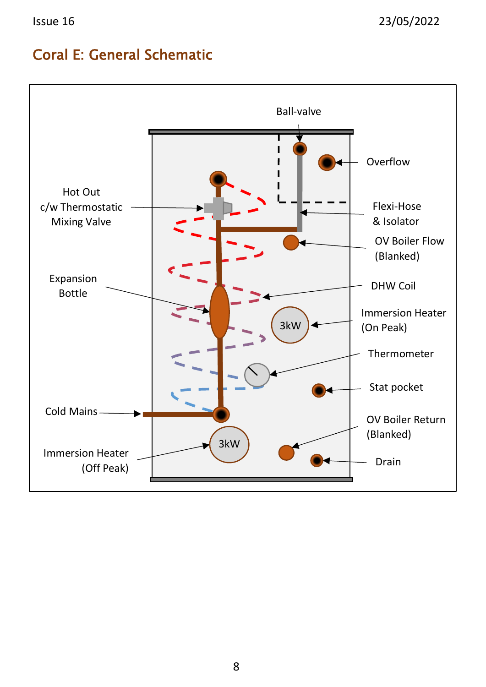### <span id="page-8-0"></span>Coral E: General Schematic

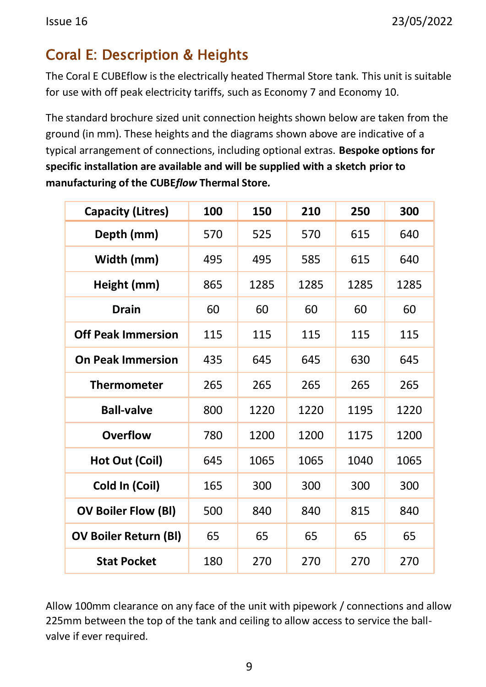# <span id="page-9-0"></span>Coral E: Description & Heights

The Coral E CUBEflow is the electrically heated Thermal Store tank. This unit is suitable for use with off peak electricity tariffs, such as Economy 7 and Economy 10.

The standard brochure sized unit connection heights shown below are taken from the ground (in mm). These heights and the diagrams shown above are indicative of a typical arrangement of connections, including optional extras. **Bespoke options for specific installation are available and will be supplied with a sketch prior to manufacturing of the CUBE***flow* **Thermal Store***.*

| <b>Capacity (Litres)</b>     | 100 | 150  | 210  | 250  | 300  |
|------------------------------|-----|------|------|------|------|
| Depth (mm)                   | 570 | 525  | 570  | 615  | 640  |
| Width (mm)                   | 495 | 495  | 585  | 615  | 640  |
| Height (mm)                  | 865 | 1285 | 1285 | 1285 | 1285 |
| <b>Drain</b>                 | 60  | 60   | 60   | 60   | 60   |
| <b>Off Peak Immersion</b>    | 115 | 115  | 115  | 115  | 115  |
| <b>On Peak Immersion</b>     | 435 | 645  | 645  | 630  | 645  |
| <b>Thermometer</b>           | 265 | 265  | 265  | 265  | 265  |
| <b>Ball-valve</b>            | 800 | 1220 | 1220 | 1195 | 1220 |
| <b>Overflow</b>              | 780 | 1200 | 1200 | 1175 | 1200 |
| Hot Out (Coil)               | 645 | 1065 | 1065 | 1040 | 1065 |
| Cold In (Coil)               | 165 | 300  | 300  | 300  | 300  |
| <b>OV Boiler Flow (BI)</b>   | 500 | 840  | 840  | 815  | 840  |
| <b>OV Boiler Return (BI)</b> | 65  | 65   | 65   | 65   | 65   |
| <b>Stat Pocket</b>           | 180 | 270  | 270  | 270  | 270  |

Allow 100mm clearance on any face of the unit with pipework / connections and allow 225mm between the top of the tank and ceiling to allow access to service the ballvalve if ever required.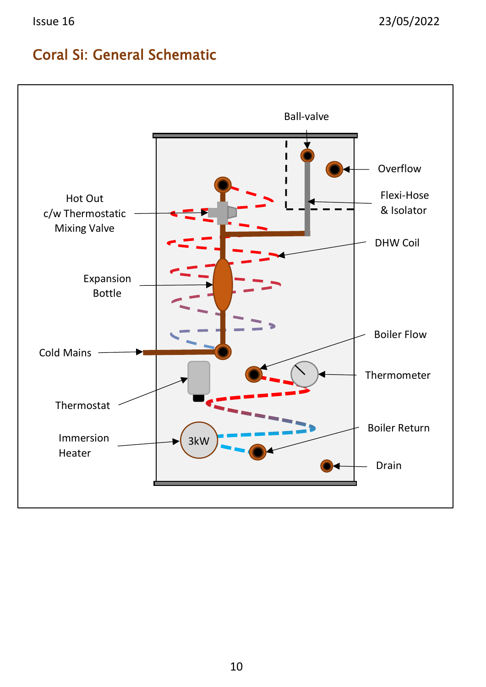### <span id="page-10-0"></span>Coral Si: General Schematic

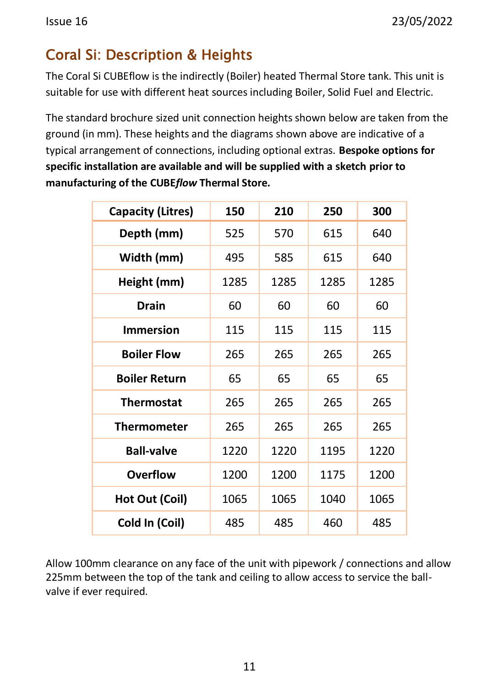# <span id="page-11-0"></span>Coral Si: Description & Heights

The Coral Si CUBEflow is the indirectly (Boiler) heated Thermal Store tank. This unit is suitable for use with different heat sources including Boiler, Solid Fuel and Electric.

The standard brochure sized unit connection heights shown below are taken from the ground (in mm). These heights and the diagrams shown above are indicative of a typical arrangement of connections, including optional extras. **Bespoke options for specific installation are available and will be supplied with a sketch prior to manufacturing of the CUBE***flow* **Thermal Store***.*

| <b>Capacity (Litres)</b> | 150  | 210  | 250  | 300  |
|--------------------------|------|------|------|------|
| Depth (mm)               | 525  | 570  | 615  | 640  |
| Width (mm)               | 495  | 585  | 615  | 640  |
| Height (mm)              | 1285 | 1285 | 1285 | 1285 |
| <b>Drain</b>             | 60   | 60   | 60   | 60   |
| <b>Immersion</b>         | 115  | 115  | 115  | 115  |
| <b>Boiler Flow</b>       | 265  | 265  | 265  | 265  |
| <b>Boiler Return</b>     | 65   | 65   | 65   | 65   |
| <b>Thermostat</b>        | 265  | 265  | 265  | 265  |
| <b>Thermometer</b>       | 265  | 265  | 265  | 265  |
| <b>Ball-valve</b>        | 1220 | 1220 | 1195 | 1220 |
| <b>Overflow</b>          | 1200 | 1200 | 1175 | 1200 |
| Hot Out (Coil)           | 1065 | 1065 | 1040 | 1065 |
| Cold In (Coil)           | 485  | 485  | 460  | 485  |

Allow 100mm clearance on any face of the unit with pipework / connections and allow 225mm between the top of the tank and ceiling to allow access to service the ballvalve if ever required.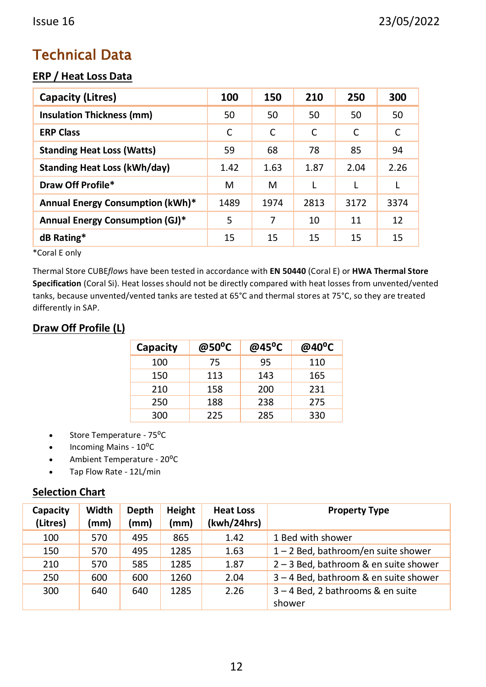## <span id="page-12-0"></span>Technical Data

#### **ERP / Heat Loss Data**

| Capacity (Litres)                   | 100  | 150  | 210  | 250  | 300  |
|-------------------------------------|------|------|------|------|------|
| Insulation Thickness (mm)           | 50   | 50   | 50   | 50   | 50   |
| <b>ERP Class</b>                    | C    | C    | C    | C    | C    |
| <b>Standing Heat Loss (Watts)</b>   | 59   | 68   | 78   | 85   | 94   |
| <b>Standing Heat Loss (kWh/day)</b> | 1.42 | 1.63 | 1.87 | 2.04 | 2.26 |
| Draw Off Profile*                   | м    | м    | L    | L    | L    |
| Annual Energy Consumption (kWh)*    | 1489 | 1974 | 2813 | 3172 | 3374 |
| Annual Energy Consumption (GJ)*     | 5    | 7    | 10   | 11   | 12   |
| dB Rating*                          | 15   | 15   | 15   | 15   | 15   |

\*Coral E only

Thermal Store CUBE*flow*s have been tested in accordance with **EN 50440** (Coral E) or **HWA Thermal Store Specification** (Coral Si). Heat losses should not be directly compared with heat losses from unvented/vented tanks, because unvented/vented tanks are tested at 65°C and thermal stores at 75°C, so they are treated differently in SAP.

#### **Draw Off Profile (L)**

| Capacity | @50°C | @45°C | @40 $^{\circ}$ C |
|----------|-------|-------|------------------|
| 100      | 75    | 95    | 110              |
| 150      | 113   | 143   | 165              |
| 210      | 158   | 200   | 231              |
| 250      | 188   | 238   | 275              |
| 300      | 225   | 285   | 330              |

- Store Temperature 75<sup>o</sup>C
- Incoming Mains 10°C
- Ambient Temperature 20°C
- Tap Flow Rate 12L/min

#### **Selection Chart**

| Capacity<br>(Litres) | Width<br>(mm) | Depth<br>(mm) | Height<br>(mm) | <b>Heat Loss</b><br>(kwh/24hrs) | <b>Property Type</b>                    |
|----------------------|---------------|---------------|----------------|---------------------------------|-----------------------------------------|
| 100                  | 570           | 495           | 865            | 1.42                            | 1 Bed with shower                       |
| 150                  | 570           | 495           | 1285           | 1.63                            | $1 - 2$ Bed, bathroom/en suite shower   |
| 210                  | 570           | 585           | 1285           | 1.87                            | $2 - 3$ Bed, bathroom & en suite shower |
| 250                  | 600           | 600           | 1260           | 2.04                            | 3 - 4 Bed, bathroom & en suite shower   |
| 300                  | 640           | 640           | 1285           | 2.26                            | 3 - 4 Bed, 2 bathrooms & en suite       |
|                      |               |               |                |                                 | shower                                  |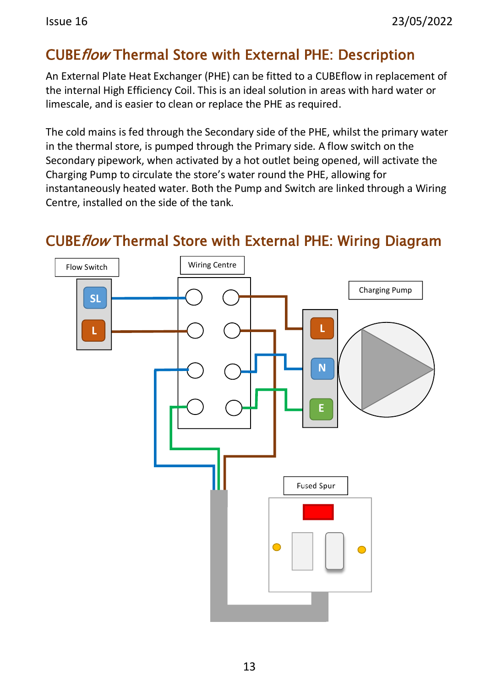## <span id="page-13-0"></span>CUBEflow Thermal Store with External PHE: Description

An External Plate Heat Exchanger (PHE) can be fitted to a CUBEflow in replacement of the internal High Efficiency Coil. This is an ideal solution in areas with hard water or limescale, and is easier to clean or replace the PHE as required.

The cold mains is fed through the Secondary side of the PHE, whilst the primary water in the thermal store, is pumped through the Primary side. A flow switch on the Secondary pipework, when activated by a hot outlet being opened, will activate the Charging Pump to circulate the store's water round the PHE, allowing for instantaneously heated water. Both the Pump and Switch are linked through a Wiring Centre, installed on the side of the tank.



### <span id="page-13-1"></span>CUBEflow Thermal Store with External PHE: Wiring Diagram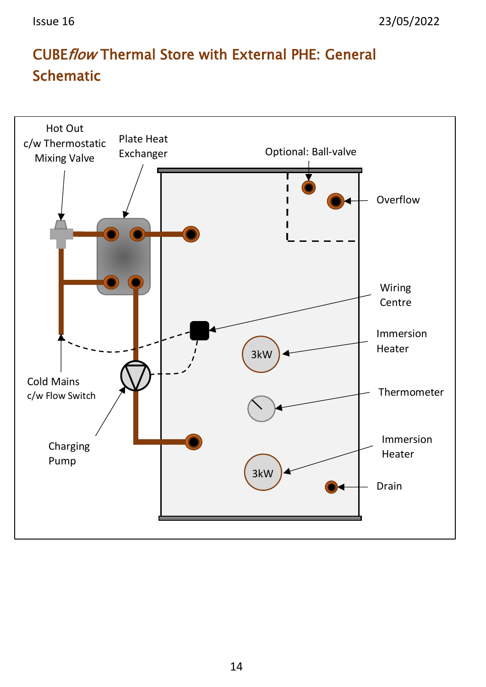# <span id="page-14-0"></span>CUBEflow Thermal Store with External PHE: General **Schematic**

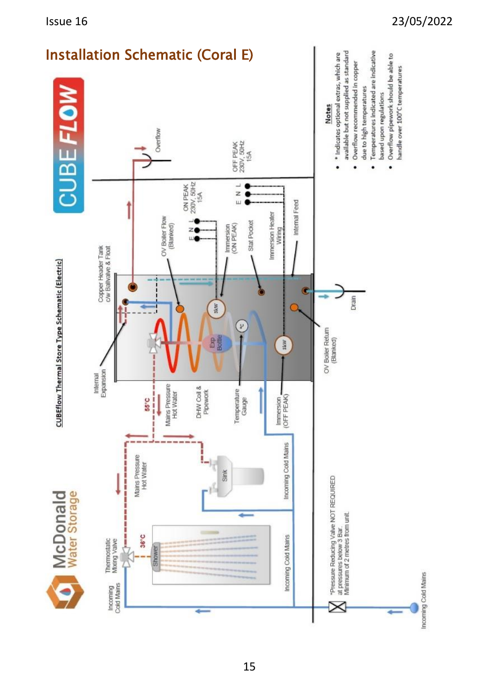<span id="page-15-0"></span>

#### Issue 16 23/05/2022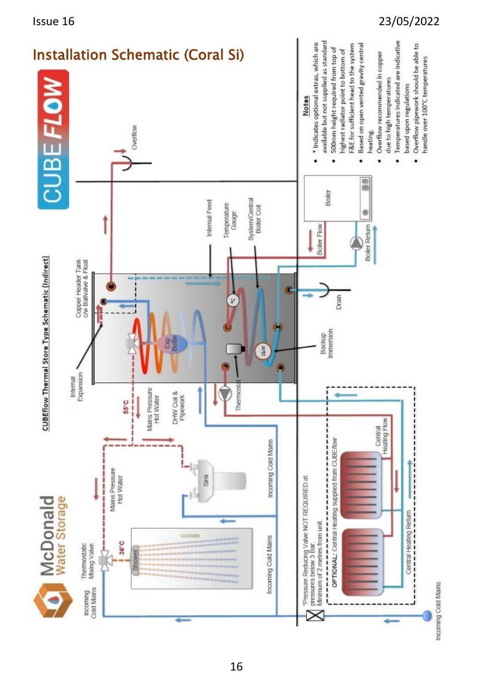<span id="page-16-0"></span>

Issue 16 23/05/2022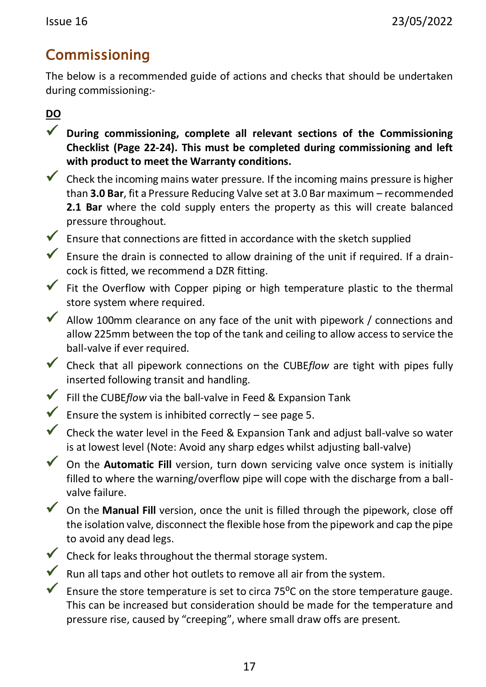## <span id="page-17-0"></span>Commissioning

The below is a recommended guide of actions and checks that should be undertaken during commissioning:-

**DO**

- ✓ **During commissioning, complete all relevant sections of the Commissioning Checklist (Page 22-24). This must be completed during commissioning and left with product to meet the Warranty conditions.**
- $\checkmark$  Check the incoming mains water pressure. If the incoming mains pressure is higher than **3.0 Bar**, fit a Pressure Reducing Valve set at 3.0 Bar maximum – recommended **2.1 Bar** where the cold supply enters the property as this will create balanced pressure throughout.
- $\checkmark$  Ensure that connections are fitted in accordance with the sketch supplied
- $\checkmark$  Ensure the drain is connected to allow draining of the unit if required. If a draincock is fitted, we recommend a DZR fitting.
- $\checkmark$  Fit the Overflow with Copper piping or high temperature plastic to the thermal store system where required.
- $\blacktriangledown$  Allow 100mm clearance on any face of the unit with pipework / connections and allow 225mm between the top of the tank and ceiling to allow access to service the ball-valve if ever required.
- ✓ Check that all pipework connections on the CUBE*flow* are tight with pipes fully inserted following transit and handling.
- ✓ Fill the CUBE*flow* via the ball-valve in Feed & Expansion Tank
- $\checkmark$  Ensure the system is inhibited correctly see page 5.
- $\checkmark$  Check the water level in the Feed & Expansion Tank and adjust ball-valve so water is at lowest level (Note: Avoid any sharp edges whilst adjusting ball-valve)
- ✓ On the **Automatic Fill** version, turn down servicing valve once system is initially filled to where the warning/overflow pipe will cope with the discharge from a ballvalve failure.
- ✓ On the **Manual Fill** version, once the unit is filled through the pipework, close off the isolation valve, disconnect the flexible hose from the pipework and cap the pipe to avoid any dead legs.
- $\checkmark$  Check for leaks throughout the thermal storage system.
- $\checkmark$  Run all taps and other hot outlets to remove all air from the system.
- Ensure the store temperature is set to circa 75 $^{\circ}$ C on the store temperature gauge. This can be increased but consideration should be made for the temperature and pressure rise, caused by "creeping", where small draw offs are present.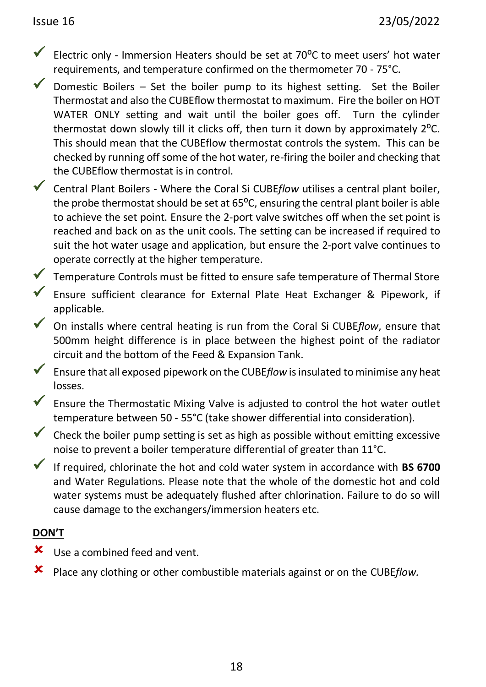- Electric only Immersion Heaters should be set at  $70^{\circ}$ C to meet users' hot water requirements, and temperature confirmed on the thermometer 70 - 75°C.
- $\checkmark$  Domestic Boilers Set the boiler pump to its highest setting. Set the Boiler Thermostat and also the CUBEflow thermostat to maximum. Fire the boiler on HOT WATER ONLY setting and wait until the boiler goes off. Turn the cylinder thermostat down slowly till it clicks off, then turn it down by approximately 2<sup>o</sup>C. This should mean that the CUBEflow thermostat controls the system. This can be checked by running off some of the hot water, re-firing the boiler and checking that the CUBEflow thermostat is in control.
- ✓ Central Plant Boilers Where the Coral Si CUBE*flow* utilises a central plant boiler, the probe thermostat should be set at  $65^{\circ}$ C, ensuring the central plant boiler is able to achieve the set point. Ensure the 2-port valve switches off when the set point is reached and back on as the unit cools. The setting can be increased if required to suit the hot water usage and application, but ensure the 2-port valve continues to operate correctly at the higher temperature.
- ✓ Temperature Controls must be fitted to ensure safe temperature of Thermal Store
- ✓ Ensure sufficient clearance for External Plate Heat Exchanger & Pipework, if applicable.
- ✓ On installs where central heating is run from the Coral Si CUBE*flow*, ensure that 500mm height difference is in place between the highest point of the radiator circuit and the bottom of the Feed & Expansion Tank.
- ✓ Ensure that all exposed pipework on the CUBE*flow* is insulated to minimise any heat losses.
- ✓ Ensure the Thermostatic Mixing Valve is adjusted to control the hot water outlet temperature between 50 - 55°C (take shower differential into consideration).
- $\checkmark$  Check the boiler pump setting is set as high as possible without emitting excessive noise to prevent a boiler temperature differential of greater than 11°C.
- ✓ If required, chlorinate the hot and cold water system in accordance with **BS 6700** and Water Regulations. Please note that the whole of the domestic hot and cold water systems must be adequately flushed after chlorination. Failure to do so will cause damage to the exchangers/immersion heaters etc.

#### **DON'T**

- **x** Use a combined feed and vent.
- Place any clothing or other combustible materials against or on the CUBE*flow.*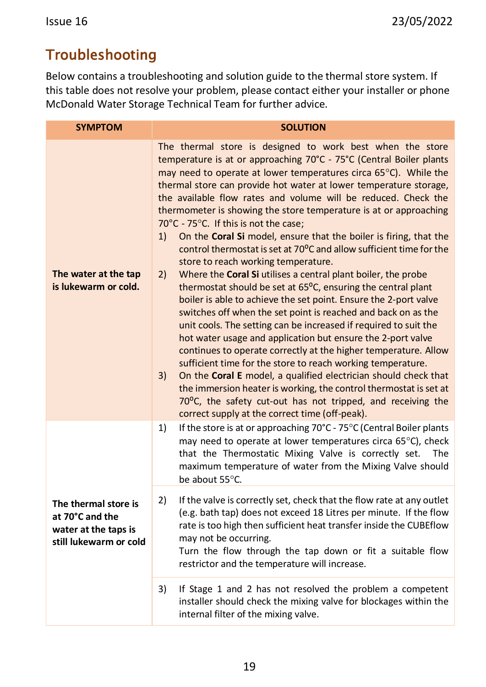## <span id="page-19-0"></span>Troubleshooting

Below contains a troubleshooting and solution guide to the thermal store system. If this table does not resolve your problem, please contact either your installer or phone McDonald Water Storage Technical Team for further advice.

| <b>SYMPTOM</b>                                                                            | <b>SOLUTION</b>                                                                                                                                                                                                                                                                                                                                                                                                                                                                                                                                                                                                                                                                                                                                                                                                                                                                                                                                                                                                                                                                                                                                                                                                                                                                                                                                                                                                                                                                 |  |  |
|-------------------------------------------------------------------------------------------|---------------------------------------------------------------------------------------------------------------------------------------------------------------------------------------------------------------------------------------------------------------------------------------------------------------------------------------------------------------------------------------------------------------------------------------------------------------------------------------------------------------------------------------------------------------------------------------------------------------------------------------------------------------------------------------------------------------------------------------------------------------------------------------------------------------------------------------------------------------------------------------------------------------------------------------------------------------------------------------------------------------------------------------------------------------------------------------------------------------------------------------------------------------------------------------------------------------------------------------------------------------------------------------------------------------------------------------------------------------------------------------------------------------------------------------------------------------------------------|--|--|
| The water at the tap<br>is lukewarm or cold.                                              | The thermal store is designed to work best when the store<br>temperature is at or approaching 70°C - 75°C (Central Boiler plants<br>may need to operate at lower temperatures circa 65°C). While the<br>thermal store can provide hot water at lower temperature storage,<br>the available flow rates and volume will be reduced. Check the<br>thermometer is showing the store temperature is at or approaching<br>70°C - 75°C. If this is not the case;<br>On the Coral Si model, ensure that the boiler is firing, that the<br>1)<br>control thermostat is set at 70 <sup>o</sup> C and allow sufficient time for the<br>store to reach working temperature.<br>Where the Coral Si utilises a central plant boiler, the probe<br>2)<br>thermostat should be set at 65°C, ensuring the central plant<br>boiler is able to achieve the set point. Ensure the 2-port valve<br>switches off when the set point is reached and back on as the<br>unit cools. The setting can be increased if required to suit the<br>hot water usage and application but ensure the 2-port valve<br>continues to operate correctly at the higher temperature. Allow<br>sufficient time for the store to reach working temperature.<br>On the Coral E model, a qualified electrician should check that<br>3)<br>the immersion heater is working, the control thermostat is set at<br>70°C, the safety cut-out has not tripped, and receiving the<br>correct supply at the correct time (off-peak). |  |  |
|                                                                                           | If the store is at or approaching 70°C - 75°C (Central Boiler plants<br>1)<br>may need to operate at lower temperatures circa 65°C), check<br>that the Thermostatic Mixing Valve is correctly set.<br>The<br>maximum temperature of water from the Mixing Valve should<br>be about 55°C.                                                                                                                                                                                                                                                                                                                                                                                                                                                                                                                                                                                                                                                                                                                                                                                                                                                                                                                                                                                                                                                                                                                                                                                        |  |  |
| The thermal store is<br>at 70°C and the<br>water at the taps is<br>still lukewarm or cold | 2)<br>If the valve is correctly set, check that the flow rate at any outlet<br>(e.g. bath tap) does not exceed 18 Litres per minute. If the flow<br>rate is too high then sufficient heat transfer inside the CUBEflow<br>may not be occurring.<br>Turn the flow through the tap down or fit a suitable flow<br>restrictor and the temperature will increase.                                                                                                                                                                                                                                                                                                                                                                                                                                                                                                                                                                                                                                                                                                                                                                                                                                                                                                                                                                                                                                                                                                                   |  |  |
|                                                                                           | 3)<br>If Stage 1 and 2 has not resolved the problem a competent<br>installer should check the mixing valve for blockages within the<br>internal filter of the mixing valve.                                                                                                                                                                                                                                                                                                                                                                                                                                                                                                                                                                                                                                                                                                                                                                                                                                                                                                                                                                                                                                                                                                                                                                                                                                                                                                     |  |  |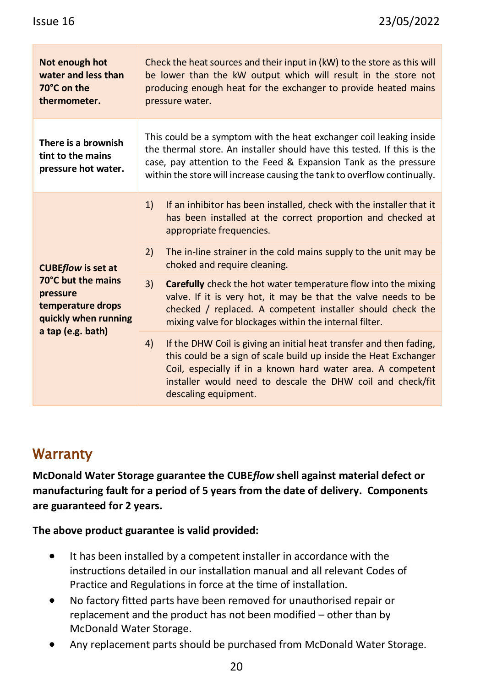| Not enough hot<br>water and less than<br>70°C on the<br>thermometer.        | Check the heat sources and their input in (kW) to the store as this will<br>be lower than the kW output which will result in the store not<br>producing enough heat for the exchanger to provide heated mains<br>pressure water.                                                               |                                                                                                                                                                                                                                                                                              |  |
|-----------------------------------------------------------------------------|------------------------------------------------------------------------------------------------------------------------------------------------------------------------------------------------------------------------------------------------------------------------------------------------|----------------------------------------------------------------------------------------------------------------------------------------------------------------------------------------------------------------------------------------------------------------------------------------------|--|
| There is a brownish<br>tint to the mains<br>pressure hot water.             | This could be a symptom with the heat exchanger coil leaking inside<br>the thermal store. An installer should have this tested. If this is the<br>case, pay attention to the Feed & Expansion Tank as the pressure<br>within the store will increase causing the tank to overflow continually. |                                                                                                                                                                                                                                                                                              |  |
|                                                                             | 1)                                                                                                                                                                                                                                                                                             | If an inhibitor has been installed, check with the installer that it<br>has been installed at the correct proportion and checked at<br>appropriate frequencies.                                                                                                                              |  |
| <b>CUBEflow is set at</b>                                                   | 2)                                                                                                                                                                                                                                                                                             | The in-line strainer in the cold mains supply to the unit may be<br>choked and require cleaning.                                                                                                                                                                                             |  |
| 70°C but the mains<br>pressure<br>temperature drops<br>quickly when running | 3)                                                                                                                                                                                                                                                                                             | <b>Carefully</b> check the hot water temperature flow into the mixing<br>valve. If it is very hot, it may be that the valve needs to be<br>checked / replaced. A competent installer should check the<br>mixing valve for blockages within the internal filter.                              |  |
| a tap (e.g. bath)                                                           | 4)                                                                                                                                                                                                                                                                                             | If the DHW Coil is giving an initial heat transfer and then fading,<br>this could be a sign of scale build up inside the Heat Exchanger<br>Coil, especially if in a known hard water area. A competent<br>installer would need to descale the DHW coil and check/fit<br>descaling equipment. |  |

## <span id="page-20-0"></span>**Warranty**

**McDonald Water Storage guarantee the CUBE***flow* **shell against material defect or manufacturing fault for a period of 5 years from the date of delivery. Components are guaranteed for 2 years.**

**The above product guarantee is valid provided:**

- It has been installed by a competent installer in accordance with the instructions detailed in our installation manual and all relevant Codes of Practice and Regulations in force at the time of installation.
- No factory fitted parts have been removed for unauthorised repair or replacement and the product has not been modified – other than by McDonald Water Storage.
- Any replacement parts should be purchased from McDonald Water Storage.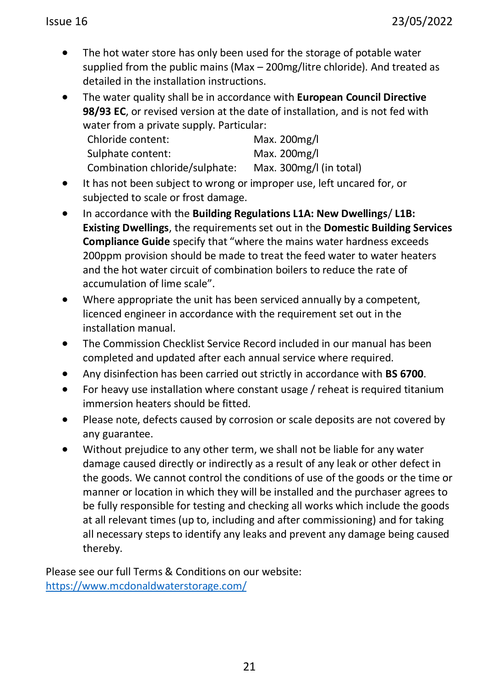The hot water store has only been used for the storage of potable water supplied from the public mains (Max – 200mg/litre chloride). And treated as detailed in the installation instructions.

• The water quality shall be in accordance with **European Council Directive 98/93 EC**, or revised version at the date of installation, and is not fed with water from a private supply. Particular:<br>Chlaside septent:

| Chloride content:              | Max. 200mg/l            |
|--------------------------------|-------------------------|
| Sulphate content:              | Max. 200mg/l            |
| Combination chloride/sulphate: | Max. 300mg/l (in total) |

- It has not been subject to wrong or improper use, left uncared for, or subjected to scale or frost damage.
- In accordance with the **Building Regulations L1A: New Dwellings**/ **L1B: Existing Dwellings**, the requirements set out in the **Domestic Building Services Compliance Guide** specify that "where the mains water hardness exceeds 200ppm provision should be made to treat the feed water to water heaters and the hot water circuit of combination boilers to reduce the rate of accumulation of lime scale".
- Where appropriate the unit has been serviced annually by a competent, licenced engineer in accordance with the requirement set out in the installation manual.
- The Commission Checklist Service Record included in our manual has been completed and updated after each annual service where required.
- Any disinfection has been carried out strictly in accordance with **BS 6700**.
- For heavy use installation where constant usage / reheat is required titanium immersion heaters should be fitted.
- Please note, defects caused by corrosion or scale deposits are not covered by any guarantee.
- Without prejudice to any other term, we shall not be liable for any water damage caused directly or indirectly as a result of any leak or other defect in the goods. We cannot control the conditions of use of the goods or the time or manner or location in which they will be installed and the purchaser agrees to be fully responsible for testing and checking all works which include the goods at all relevant times (up to, including and after commissioning) and for taking all necessary steps to identify any leaks and prevent any damage being caused thereby.

Please see our full Terms & Conditions on our website: <https://www.mcdonaldwaterstorage.com/>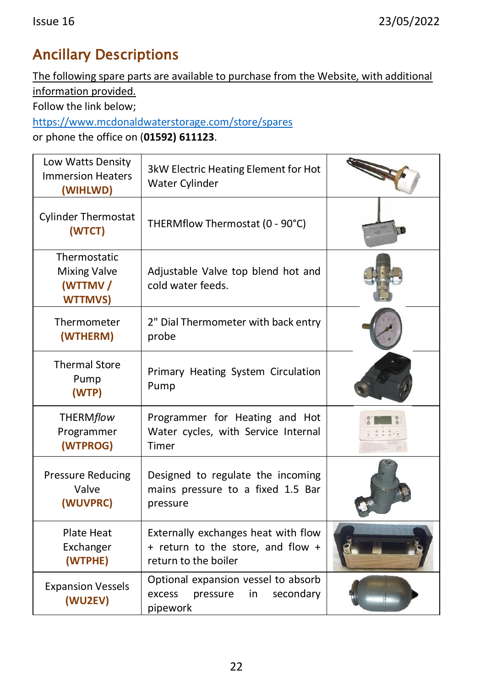# <span id="page-22-0"></span>Ancillary Descriptions

The following spare parts are available to purchase from the Website, with additional information provided.

Follow the link below;

<https://www.mcdonaldwaterstorage.com/store/spares>

or phone the office on (**01592) 611123**.

| Low Watts Density<br><b>Immersion Heaters</b><br>(WIHLWD)        | 3kW Electric Heating Element for Hot<br>Water Cylinder                                           |  |
|------------------------------------------------------------------|--------------------------------------------------------------------------------------------------|--|
| <b>Cylinder Thermostat</b><br>(WTCT)                             | THERMflow Thermostat (0 - 90°C)                                                                  |  |
| Thermostatic<br><b>Mixing Valve</b><br>(WTTMV/<br><b>WTTMVS)</b> | Adjustable Valve top blend hot and<br>cold water feeds.                                          |  |
| Thermometer<br>(WTHERM)                                          | 2" Dial Thermometer with back entry<br>probe                                                     |  |
| <b>Thermal Store</b><br>Pump<br>(WTP)                            | Primary Heating System Circulation<br>Pump                                                       |  |
| <b>THERMflow</b><br>Programmer<br>(WTPROG)                       | Programmer for Heating and Hot<br>Water cycles, with Service Internal<br>Timer                   |  |
| <b>Pressure Reducing</b><br>Valve<br>(WUVPRC)                    | Designed to regulate the incoming<br>mains pressure to a fixed 1.5 Bar<br>pressure               |  |
| Plate Heat<br>Exchanger<br>(WTPHE)                               | Externally exchanges heat with flow<br>+ return to the store, and flow +<br>return to the boiler |  |
| <b>Expansion Vessels</b><br>(WU2EV)                              | Optional expansion vessel to absorb<br>secondary<br>excess<br>pressure<br>in<br>pipework         |  |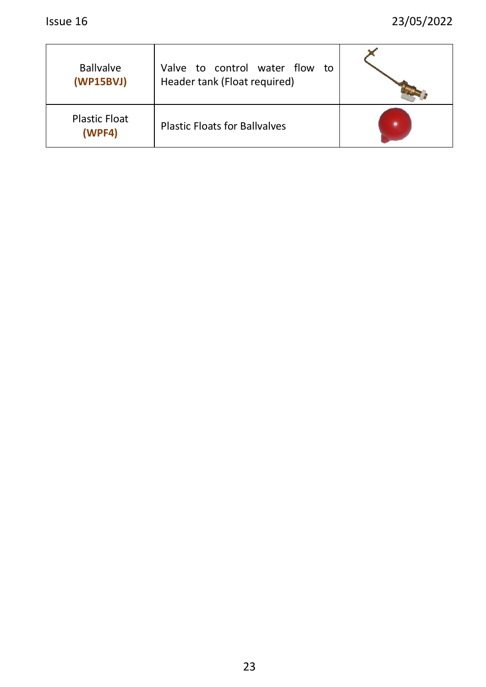| <b>Ballvalve</b><br>(WP15BVJ)  | Valve to control water flow<br>to<br>Header tank (Float required) |  |
|--------------------------------|-------------------------------------------------------------------|--|
| <b>Plastic Float</b><br>(WPF4) | <b>Plastic Floats for Ballvalves</b>                              |  |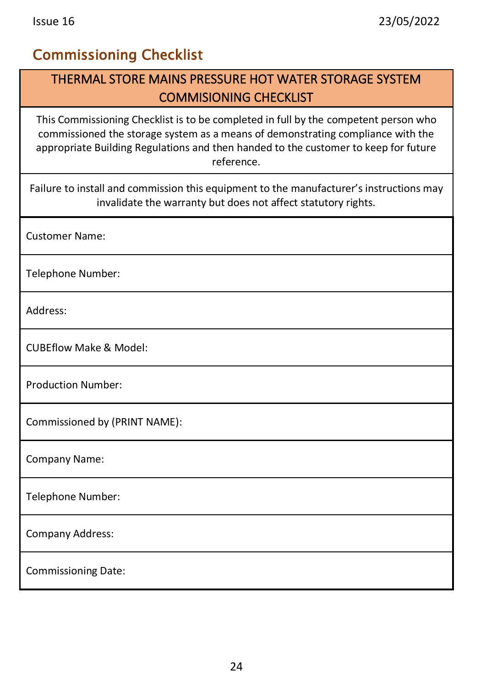## <span id="page-24-0"></span>Commissioning Checklist

### THERMAL STORE MAINS PRESSURE HOT WATER STORAGE SYSTEM COMMISIONING CHECKLIST

This Commissioning Checklist is to be completed in full by the competent person who commissioned the storage system as a means of demonstrating compliance with the appropriate Building Regulations and then handed to the customer to keep for future reference.

Failure to install and commission this equipment to the manufacturer's instructions may invalidate the warranty but does not affect statutory rights.

Customer Name:

Telephone Number:

Address:

CUBEflow Make & Model:

Production Number:

Commissioned by (PRINT NAME):

Company Name:

Telephone Number:

Company Address:

Commissioning Date: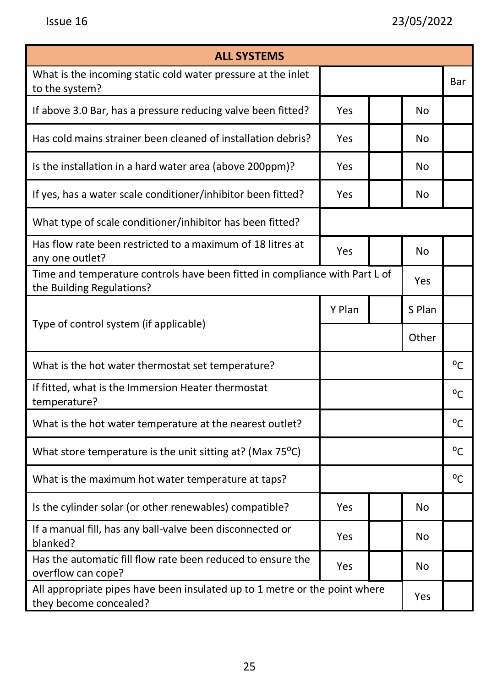| <b>ALL SYSTEMS</b>                                                                                       |        |  |        |              |  |  |
|----------------------------------------------------------------------------------------------------------|--------|--|--------|--------------|--|--|
| What is the incoming static cold water pressure at the inlet<br>to the system?                           |        |  |        | Bar          |  |  |
| If above 3.0 Bar, has a pressure reducing valve been fitted?                                             | Yes    |  | No     |              |  |  |
| Has cold mains strainer been cleaned of installation debris?                                             | Yes    |  | No     |              |  |  |
| Is the installation in a hard water area (above 200ppm)?                                                 | Yes    |  | No     |              |  |  |
| If yes, has a water scale conditioner/inhibitor been fitted?                                             | Yes    |  | No     |              |  |  |
| What type of scale conditioner/inhibitor has been fitted?                                                |        |  |        |              |  |  |
| Has flow rate been restricted to a maximum of 18 litres at<br>any one outlet?                            | Yes    |  | No     |              |  |  |
| Time and temperature controls have been fitted in compliance with Part L of<br>the Building Regulations? |        |  | Yes    |              |  |  |
| Type of control system (if applicable)                                                                   | Y Plan |  | S Plan |              |  |  |
|                                                                                                          |        |  | Other  |              |  |  |
| What is the hot water thermostat set temperature?                                                        |        |  |        | °C           |  |  |
| If fitted, what is the Immersion Heater thermostat<br>temperature?                                       |        |  |        | $^{\circ}$ C |  |  |
| What is the hot water temperature at the nearest outlet?                                                 |        |  |        | $^{\circ}$ C |  |  |
| What store temperature is the unit sitting at? (Max 75°C)                                                |        |  |        | °C           |  |  |
| What is the maximum hot water temperature at taps?                                                       |        |  |        | $^{\circ}$ C |  |  |
| Is the cylinder solar (or other renewables) compatible?                                                  | Yes    |  | No     |              |  |  |
| If a manual fill, has any ball-valve been disconnected or<br>blanked?                                    | Yes    |  | No     |              |  |  |
| Has the automatic fill flow rate been reduced to ensure the<br>overflow can cope?                        | Yes    |  | No     |              |  |  |
| All appropriate pipes have been insulated up to 1 metre or the point where<br>they become concealed?     |        |  | Yes    |              |  |  |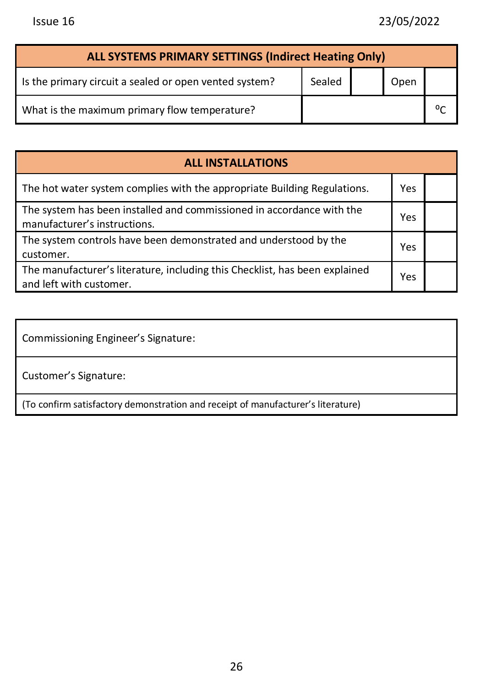| ALL SYSTEMS PRIMARY SETTINGS (Indirect Heating Only)   |        |  |      |  |  |  |  |
|--------------------------------------------------------|--------|--|------|--|--|--|--|
| Is the primary circuit a sealed or open vented system? | Sealed |  | Open |  |  |  |  |
| What is the maximum primary flow temperature?          |        |  |      |  |  |  |  |

| <b>ALL INSTALLATIONS</b>                                                                               |     |  |  |  |  |
|--------------------------------------------------------------------------------------------------------|-----|--|--|--|--|
| The hot water system complies with the appropriate Building Regulations.                               | Yes |  |  |  |  |
| The system has been installed and commissioned in accordance with the<br>manufacturer's instructions.  | Yes |  |  |  |  |
| The system controls have been demonstrated and understood by the<br>customer.                          | Yes |  |  |  |  |
| The manufacturer's literature, including this Checklist, has been explained<br>and left with customer. | Yes |  |  |  |  |

Commissioning Engineer's Signature:

Customer's Signature:

(To confirm satisfactory demonstration and receipt of manufacturer's literature)